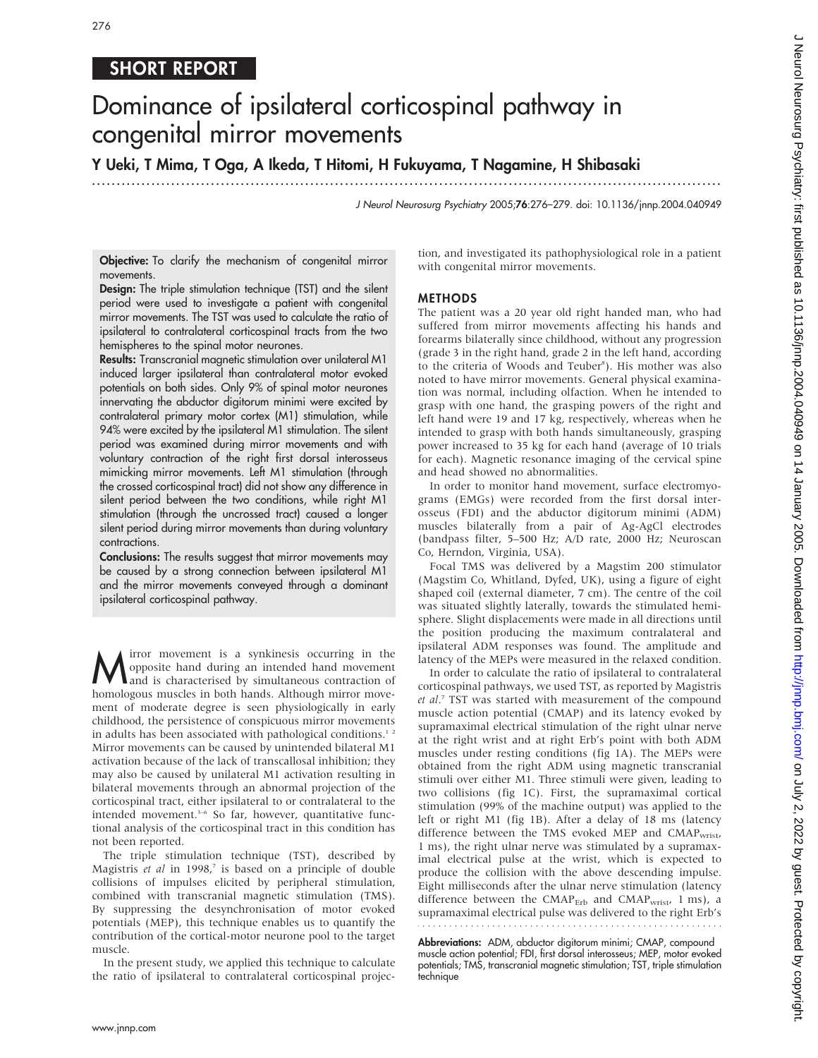## SHORT REPORT

# Dominance of ipsilateral corticospinal pathway in congenital mirror movements

Y Ueki, T Mima, T Oga, A Ikeda, T Hitomi, H Fukuyama, T Nagamine, H Shibasaki

...............................................................................................................................

J Neurol Neurosurg Psychiatry 2005;76:276–279. doi: 10.1136/jnnp.2004.040949

Objective: To clarify the mechanism of congenital mirror movements.

Design: The triple stimulation technique (TST) and the silent period were used to investigate a patient with congenital mirror movements. The TST was used to calculate the ratio of ipsilateral to contralateral corticospinal tracts from the two hemispheres to the spinal motor neurones.

Results: Transcranial magnetic stimulation over unilateral M1 induced larger ipsilateral than contralateral motor evoked potentials on both sides. Only 9% of spinal motor neurones innervating the abductor digitorum minimi were excited by contralateral primary motor cortex (M1) stimulation, while 94% were excited by the ipsilateral M1 stimulation. The silent period was examined during mirror movements and with voluntary contraction of the right first dorsal interosseus mimicking mirror movements. Left M1 stimulation (through the crossed corticospinal tract) did not show any difference in silent period between the two conditions, while right M1 stimulation (through the uncrossed tract) caused a longer silent period during mirror movements than during voluntary contractions.

Conclusions: The results suggest that mirror movements may be caused by a strong connection between ipsilateral M1 and the mirror movements conveyed through a dominant ipsilateral corticospinal pathway.

**M** irror movement is a synkinesis occurring in the opposite hand during an intended hand movement and is characterised by simultaneous contraction of hameleous muscles in both bands. Although mirror mayo opposite hand during an intended hand movement and is characterised by simultaneous contraction of homologous muscles in both hands. Although mirror movement of moderate degree is seen physiologically in early childhood, the persistence of conspicuous mirror movements in adults has been associated with pathological conditions.<sup>12</sup> Mirror movements can be caused by unintended bilateral M1 activation because of the lack of transcallosal inhibition; they may also be caused by unilateral M1 activation resulting in bilateral movements through an abnormal projection of the corticospinal tract, either ipsilateral to or contralateral to the intended movement.<sup>3-6</sup> So far, however, quantitative functional analysis of the corticospinal tract in this condition has not been reported.

The triple stimulation technique (TST), described by Magistris et al in 1998, $^7$  is based on a principle of double collisions of impulses elicited by peripheral stimulation, combined with transcranial magnetic stimulation (TMS). By suppressing the desynchronisation of motor evoked potentials (MEP), this technique enables us to quantify the contribution of the cortical-motor neurone pool to the target muscle.

In the present study, we applied this technique to calculate the ratio of ipsilateral to contralateral corticospinal projection, and investigated its pathophysiological role in a patient with congenital mirror movements.

#### METHODS

The patient was a 20 year old right handed man, who had suffered from mirror movements affecting his hands and forearms bilaterally since childhood, without any progression (grade 3 in the right hand, grade 2 in the left hand, according to the criteria of Woods and Teuber<sup>8</sup>). His mother was also noted to have mirror movements. General physical examination was normal, including olfaction. When he intended to grasp with one hand, the grasping powers of the right and left hand were 19 and 17 kg, respectively, whereas when he intended to grasp with both hands simultaneously, grasping power increased to 35 kg for each hand (average of 10 trials for each). Magnetic resonance imaging of the cervical spine and head showed no abnormalities.

In order to monitor hand movement, surface electromyograms (EMGs) were recorded from the first dorsal interosseus (FDI) and the abductor digitorum minimi (ADM) muscles bilaterally from a pair of Ag-AgCl electrodes (bandpass filter, 5–500 Hz; A/D rate, 2000 Hz; Neuroscan Co, Herndon, Virginia, USA).

Focal TMS was delivered by a Magstim 200 stimulator (Magstim Co, Whitland, Dyfed, UK), using a figure of eight shaped coil (external diameter, 7 cm). The centre of the coil was situated slightly laterally, towards the stimulated hemisphere. Slight displacements were made in all directions until the position producing the maximum contralateral and ipsilateral ADM responses was found. The amplitude and latency of the MEPs were measured in the relaxed condition.

In order to calculate the ratio of ipsilateral to contralateral corticospinal pathways, we used TST, as reported by Magistris et al.<sup>7</sup> TST was started with measurement of the compound muscle action potential (CMAP) and its latency evoked by supramaximal electrical stimulation of the right ulnar nerve at the right wrist and at right Erb's point with both ADM muscles under resting conditions (fig 1A). The MEPs were obtained from the right ADM using magnetic transcranial stimuli over either M1. Three stimuli were given, leading to two collisions (fig 1C). First, the supramaximal cortical stimulation (99% of the machine output) was applied to the left or right M1 (fig 1B). After a delay of 18 ms (latency difference between the TMS evoked MEP and CMAPwrist, 1 ms), the right ulnar nerve was stimulated by a supramaximal electrical pulse at the wrist, which is expected to produce the collision with the above descending impulse. Eight milliseconds after the ulnar nerve stimulation (latency difference between the CMAP<sub>Erb</sub> and CMAP<sub>wrist</sub>, 1 ms), a supramaximal electrical pulse was delivered to the right Erb's

Abbreviations: ADM, abductor digitorum minimi; CMAP, compound muscle action potential; FDI, first dorsal interosseus; MEP, motor evoked potentials; TMS, transcranial magnetic stimulation; TST, triple stimulation technique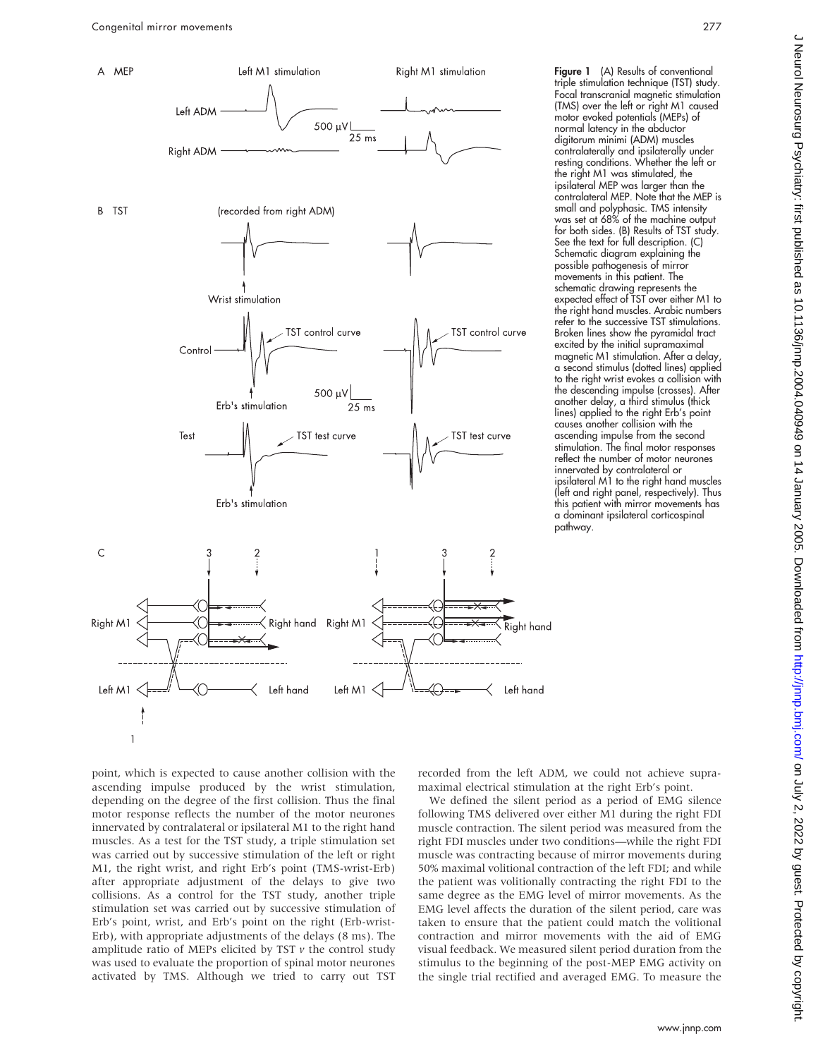

Figure 1 (A) Results of conventional triple stimulation technique (TST) study. Focal transcranial magnetic stimulation (TMS) over the left or right M1 caused motor evoked potentials (MEPs) of normal latency in the abductor digitorum minimi (ADM) muscles contralaterally and ipsilaterally under resting conditions. Whether the left or the right M1 was stimulated, the ipsilateral MEP was larger than the contralateral MEP. Note that the MEP is small and polyphasic. TMS intensity was set at 68% of the machine output for both sides. (B) Results of TST study. See the text for full description. (C) Schematic diagram explaining the possible pathogenesis of mirror movements in this patient. The schematic drawing represents the expected effect of TST over either M1 to the right hand muscles. Arabic numbers refer to the successive TST stimulations. Broken lines show the pyramidal tract excited by the initial supramaximal magnetic M1 stimulation. After a delay, a second stimulus (dotted lines) applied to the right wrist evokes a collision with the descending impulse (crosses). After another delay, a third stimulus (thick lines) applied to the right Erb's point causes another collision with the ascending impulse from the second stimulation. The final motor responses reflect the number of motor neurones innervated by contralateral or ipsilateral M1 to the right hand muscles (left and right panel, respectively). Thus this patient with mirror movements has a dominant ipsilateral corticospinal pathway.

point, which is expected to cause another collision with the ascending impulse produced by the wrist stimulation, depending on the degree of the first collision. Thus the final motor response reflects the number of the motor neurones innervated by contralateral or ipsilateral M1 to the right hand muscles. As a test for the TST study, a triple stimulation set was carried out by successive stimulation of the left or right M1, the right wrist, and right Erb's point (TMS-wrist-Erb) after appropriate adjustment of the delays to give two collisions. As a control for the TST study, another triple stimulation set was carried out by successive stimulation of Erb's point, wrist, and Erb's point on the right (Erb-wrist-Erb), with appropriate adjustments of the delays (8 ms). The amplitude ratio of MEPs elicited by TST  $\nu$  the control study was used to evaluate the proportion of spinal motor neurones activated by TMS. Although we tried to carry out TST recorded from the left ADM, we could not achieve supramaximal electrical stimulation at the right Erb's point.

We defined the silent period as a period of EMG silence following TMS delivered over either M1 during the right FDI muscle contraction. The silent period was measured from the right FDI muscles under two conditions—while the right FDI muscle was contracting because of mirror movements during 50% maximal volitional contraction of the left FDI; and while the patient was volitionally contracting the right FDI to the same degree as the EMG level of mirror movements. As the EMG level affects the duration of the silent period, care was taken to ensure that the patient could match the volitional contraction and mirror movements with the aid of EMG visual feedback. We measured silent period duration from the stimulus to the beginning of the post-MEP EMG activity on the single trial rectified and averaged EMG. To measure the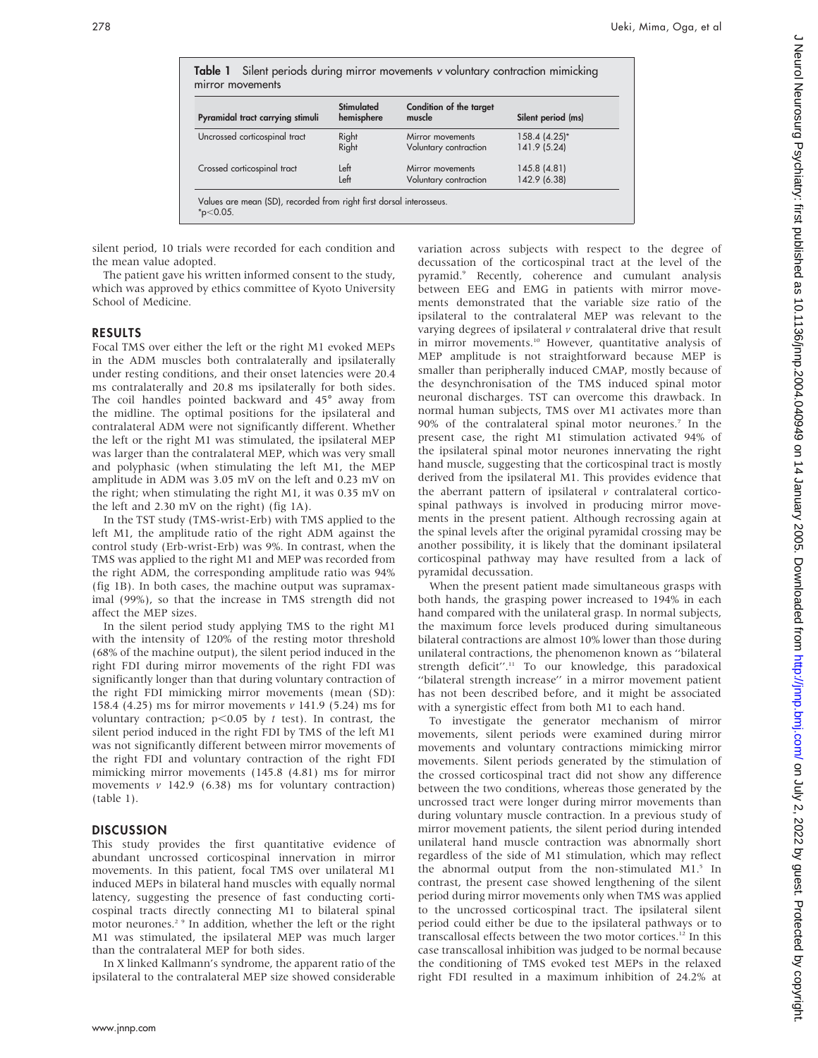| Pyramidal tract carrying stimuli | Stimulated<br>hemisphere | Condition of the target<br>muscle | Silent period (ms) |
|----------------------------------|--------------------------|-----------------------------------|--------------------|
| Uncrossed corticospinal tract    | Right                    | Mirror movements                  | 158.4 (4.25)*      |
|                                  | Right                    | Voluntary contraction             | 141.9 (5.24)       |
| Crossed corticospinal tract      | Left                     | Mirror movements                  | 145.8 (4.81)       |
|                                  | Left                     | Voluntary contraction             | 142.9 (6.38)       |

silent period, 10 trials were recorded for each condition and the mean value adopted.

The patient gave his written informed consent to the study, which was approved by ethics committee of Kyoto University School of Medicine.

#### RESULTS

Focal TMS over either the left or the right M1 evoked MEPs in the ADM muscles both contralaterally and ipsilaterally under resting conditions, and their onset latencies were 20.4 ms contralaterally and 20.8 ms ipsilaterally for both sides. The coil handles pointed backward and 45˚ away from the midline. The optimal positions for the ipsilateral and contralateral ADM were not significantly different. Whether the left or the right M1 was stimulated, the ipsilateral MEP was larger than the contralateral MEP, which was very small and polyphasic (when stimulating the left M1, the MEP amplitude in ADM was 3.05 mV on the left and 0.23 mV on the right; when stimulating the right M1, it was 0.35 mV on the left and 2.30 mV on the right) (fig 1A).

In the TST study (TMS-wrist-Erb) with TMS applied to the left M1, the amplitude ratio of the right ADM against the control study (Erb-wrist-Erb) was 9%. In contrast, when the TMS was applied to the right M1 and MEP was recorded from the right ADM, the corresponding amplitude ratio was 94% (fig 1B). In both cases, the machine output was supramaximal (99%), so that the increase in TMS strength did not affect the MEP sizes.

In the silent period study applying TMS to the right M1 with the intensity of 120% of the resting motor threshold (68% of the machine output), the silent period induced in the right FDI during mirror movements of the right FDI was significantly longer than that during voluntary contraction of the right FDI mimicking mirror movements (mean (SD): 158.4 (4.25) ms for mirror movements  $\nu$  141.9 (5.24) ms for voluntary contraction;  $p<0.05$  by t test). In contrast, the silent period induced in the right FDI by TMS of the left M1 was not significantly different between mirror movements of the right FDI and voluntary contraction of the right FDI mimicking mirror movements (145.8 (4.81) ms for mirror movements  $v$  142.9 (6.38) ms for voluntary contraction) (table 1).

#### **DISCUSSION**

This study provides the first quantitative evidence of abundant uncrossed corticospinal innervation in mirror movements. In this patient, focal TMS over unilateral M1 induced MEPs in bilateral hand muscles with equally normal latency, suggesting the presence of fast conducting corticospinal tracts directly connecting M1 to bilateral spinal motor neurones.<sup>2</sup> <sup>9</sup> In addition, whether the left or the right M1 was stimulated, the ipsilateral MEP was much larger than the contralateral MEP for both sides.

In X linked Kallmann's syndrome, the apparent ratio of the ipsilateral to the contralateral MEP size showed considerable

variation across subjects with respect to the degree of decussation of the corticospinal tract at the level of the pyramid.<sup>9</sup> Recently, coherence and cumulant analysis between EEG and EMG in patients with mirror movements demonstrated that the variable size ratio of the ipsilateral to the contralateral MEP was relevant to the varying degrees of ipsilateral  $\nu$  contralateral drive that result in mirror movements.10 However, quantitative analysis of MEP amplitude is not straightforward because MEP is smaller than peripherally induced CMAP, mostly because of the desynchronisation of the TMS induced spinal motor neuronal discharges. TST can overcome this drawback. In normal human subjects, TMS over M1 activates more than 90% of the contralateral spinal motor neurones.<sup>7</sup> In the present case, the right M1 stimulation activated 94% of the ipsilateral spinal motor neurones innervating the right hand muscle, suggesting that the corticospinal tract is mostly derived from the ipsilateral M1. This provides evidence that the aberrant pattern of ipsilateral  $\nu$  contralateral corticospinal pathways is involved in producing mirror movements in the present patient. Although recrossing again at the spinal levels after the original pyramidal crossing may be another possibility, it is likely that the dominant ipsilateral corticospinal pathway may have resulted from a lack of pyramidal decussation.

When the present patient made simultaneous grasps with both hands, the grasping power increased to 194% in each hand compared with the unilateral grasp. In normal subjects, the maximum force levels produced during simultaneous bilateral contractions are almost 10% lower than those during unilateral contractions, the phenomenon known as ''bilateral strength deficit".<sup>11</sup> To our knowledge, this paradoxical ''bilateral strength increase'' in a mirror movement patient has not been described before, and it might be associated with a synergistic effect from both M1 to each hand.

To investigate the generator mechanism of mirror movements, silent periods were examined during mirror movements and voluntary contractions mimicking mirror movements. Silent periods generated by the stimulation of the crossed corticospinal tract did not show any difference between the two conditions, whereas those generated by the uncrossed tract were longer during mirror movements than during voluntary muscle contraction. In a previous study of mirror movement patients, the silent period during intended unilateral hand muscle contraction was abnormally short regardless of the side of M1 stimulation, which may reflect the abnormal output from the non-stimulated M1.<sup>5</sup> In contrast, the present case showed lengthening of the silent period during mirror movements only when TMS was applied to the uncrossed corticospinal tract. The ipsilateral silent period could either be due to the ipsilateral pathways or to transcallosal effects between the two motor cortices.12 In this case transcallosal inhibition was judged to be normal because the conditioning of TMS evoked test MEPs in the relaxed right FDI resulted in a maximum inhibition of 24.2% at